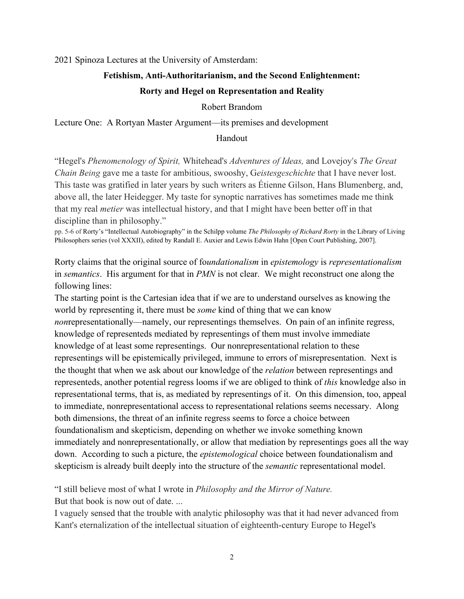2021 Spinoza Lectures at the University of Amsterdam:

## **Fetishism, Anti-Authoritarianism, and the Second Enlightenment:**

## **Rorty and Hegel on Representation and Reality**

## Robert Brandom

Lecture One: A Rortyan Master Argument—its premises and development

## Handout

"Hegel's *Phenomenology of Spirit,* Whitehead's *Adventures of Ideas,* and Lovejoy's *The Great Chain Being* gave me a taste for ambitious, swooshy, G*eistesgeschichte* that I have never lost. This taste was gratified in later years by such writers as Étienne Gilson, Hans Blumenberg, and, above all, the later Heidegger. My taste for synoptic narratives has sometimes made me think that my real *metier* was intellectual history, and that I might have been better off in that discipline than in philosophy."

pp. 5-6 of Rorty's "Intellectual Autobiography" in the Schilpp volume *The Philosophy of Richard Rorty* in the Library of Living Philosophers series (vol XXXII), edited by Randall E. Auxier and Lewis Edwin Hahn [Open Court Publishing, 2007].

Rorty claims that the original source of fo*undationalism* in *epistemology* is *representationalism* in *semantics*. His argument for that in *PMN* is not clear. We might reconstruct one along the following lines:

The starting point is the Cartesian idea that if we are to understand ourselves as knowing the world by representing it, there must be *some* kind of thing that we can know *non*representationally—namely, our representings themselves. On pain of an infinite regress, knowledge of representeds mediated by representings of them must involve immediate knowledge of at least some representings. Our nonrepresentational relation to these representings will be epistemically privileged, immune to errors of misrepresentation. Next is the thought that when we ask about our knowledge of the *relation* between representings and representeds, another potential regress looms if we are obliged to think of *this* knowledge also in representational terms, that is, as mediated by representings of it. On this dimension, too, appeal to immediate, nonrepresentational access to representational relations seems necessary. Along both dimensions, the threat of an infinite regress seems to force a choice between foundationalism and skepticism, depending on whether we invoke something known immediately and nonrepresentationally, or allow that mediation by representings goes all the way down. According to such a picture, the *epistemological* choice between foundationalism and skepticism is already built deeply into the structure of the *semantic* representational model.

"I still believe most of what I wrote in *Philosophy and the Mirror of Nature.*  But that book is now out of date. ...

I vaguely sensed that the trouble with analytic philosophy was that it had never advanced from Kant's eternalization of the intellectual situation of eighteenth-century Europe to Hegel's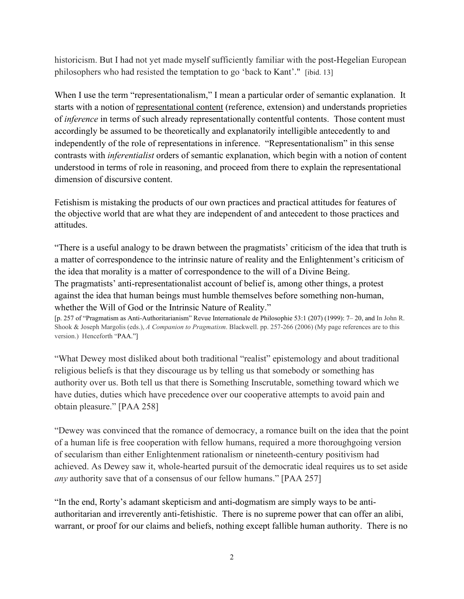historicism. But I had not yet made myself sufficiently familiar with the post-Hegelian European philosophers who had resisted the temptation to go 'back to Kant'." [ibid. 13]

When I use the term "representationalism," I mean a particular order of semantic explanation. It starts with a notion of representational content (reference, extension) and understands proprieties of *inference* in terms of such already representationally contentful contents. Those content must accordingly be assumed to be theoretically and explanatorily intelligible antecedently to and independently of the role of representations in inference. "Representationalism" in this sense contrasts with *inferentialist* orders of semantic explanation, which begin with a notion of content understood in terms of role in reasoning, and proceed from there to explain the representational dimension of discursive content.

Fetishism is mistaking the products of our own practices and practical attitudes for features of the objective world that are what they are independent of and antecedent to those practices and attitudes.

"There is a useful analogy to be drawn between the pragmatists' criticism of the idea that truth is a matter of correspondence to the intrinsic nature of reality and the Enlightenment's criticism of the idea that morality is a matter of correspondence to the will of a Divine Being. The pragmatists' anti-representationalist account of belief is, among other things, a protest against the idea that human beings must humble themselves before something non-human, whether the Will of God or the Intrinsic Nature of Reality."

[p. 257 of "Pragmatism as Anti-Authoritarianism" Revue Internationale de Philosophie 53:1 (207) (1999): 7– 20, and In John R. Shook & Joseph Margolis (eds.), *A Companion to Pragmatism*. Blackwell. pp. 257-266 (2006) (My page references are to this version.) Henceforth "PAA."]

"What Dewey most disliked about both traditional "realist" epistemology and about traditional religious beliefs is that they discourage us by telling us that somebody or something has authority over us. Both tell us that there is Something Inscrutable, something toward which we have duties, duties which have precedence over our cooperative attempts to avoid pain and obtain pleasure." [PAA 258]

"Dewey was convinced that the romance of democracy, a romance built on the idea that the point of a human life is free cooperation with fellow humans, required a more thoroughgoing version of secularism than either Enlightenment rationalism or nineteenth-century positivism had achieved. As Dewey saw it, whole-hearted pursuit of the democratic ideal requires us to set aside *any* authority save that of a consensus of our fellow humans." [PAA 257]

"In the end, Rorty's adamant skepticism and anti-dogmatism are simply ways to be antiauthoritarian and irreverently anti-fetishistic. There is no supreme power that can offer an alibi, warrant, or proof for our claims and beliefs, nothing except fallible human authority. There is no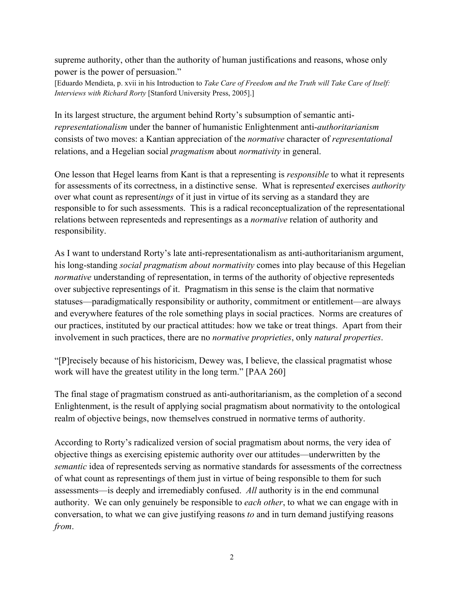supreme authority, other than the authority of human justifications and reasons, whose only power is the power of persuasion."

[Eduardo Mendieta, p. xvii in his Introduction to *Take Care of Freedom and the Truth will Take Care of Itself: Interviews with Richard Rorty* [Stanford University Press, 2005].]

In its largest structure, the argument behind Rorty's subsumption of semantic anti*representationalism* under the banner of humanistic Enlightenment anti-*authoritarianism* consists of two moves: a Kantian appreciation of the *normative* character of *representational*  relations, and a Hegelian social *pragmatism* about *normativity* in general.

One lesson that Hegel learns from Kant is that a representing is *responsible* to what it represents for assessments of its correctness, in a distinctive sense. What is represent*ed* exercises *authority*  over what count as represent*ings* of it just in virtue of its serving as a standard they are responsible to for such assessments. This is a radical reconceptualization of the representational relations between representeds and representings as a *normative* relation of authority and responsibility.

As I want to understand Rorty's late anti-representationalism as anti-authoritarianism argument, his long-standing *social pragmatism about normativity* comes into play because of this Hegelian *normative* understanding of representation, in terms of the authority of objective representeds over subjective representings of it. Pragmatism in this sense is the claim that normative statuses—paradigmatically responsibility or authority, commitment or entitlement—are always and everywhere features of the role something plays in social practices. Norms are creatures of our practices, instituted by our practical attitudes: how we take or treat things. Apart from their involvement in such practices, there are no *normative proprieties*, only *natural properties*.

"[P]recisely because of his historicism, Dewey was, I believe, the classical pragmatist whose work will have the greatest utility in the long term." [PAA 260]

The final stage of pragmatism construed as anti-authoritarianism, as the completion of a second Enlightenment, is the result of applying social pragmatism about normativity to the ontological realm of objective beings, now themselves construed in normative terms of authority.

According to Rorty's radicalized version of social pragmatism about norms, the very idea of objective things as exercising epistemic authority over our attitudes—underwritten by the *semantic* idea of representeds serving as normative standards for assessments of the correctness of what count as representings of them just in virtue of being responsible to them for such assessments—is deeply and irremediably confused. *All* authority is in the end communal authority. We can only genuinely be responsible to *each other*, to what we can engage with in conversation, to what we can give justifying reasons *to* and in turn demand justifying reasons *from*.